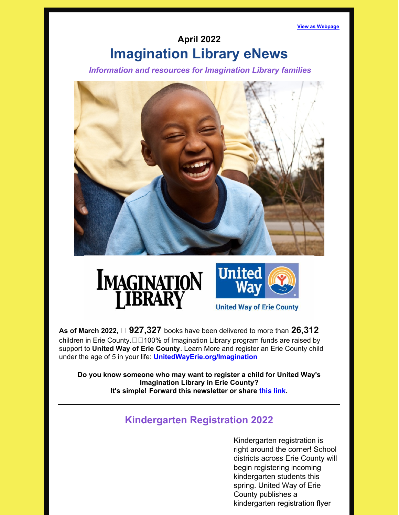**View as [Webpage](https://campaignlp.constantcontact.com/em/1101628996768/80cdb07e-c1de-4abe-8330-bac09de099ce)**

# **April 2022 Imagination Library eNews**

*Information and resources for Imagination Library families*







**United Way of Erie County** 

**As of March 2022, 927,327** books have been delivered to more than **26,312** children in Erie County. $\Box$ 100% of Imagination Library program funds are raised by support to **United Way of Erie [County](https://www.facebook.com/UnitedWayErie/?__xts__%5B0%5D=68.ARAZo8IrIQ0xskSjfS9dzymk9QJ3s8JcAGeAqlDQ9_6Q3I_EqS2hsZ0JICAoncLidML2dM2vmAFfSv7HkMNfO0dRe11y6sAlttB1SjUj0wrP79zZAmzyHcuM9l0DF62-DiAwUhfHY_lpEcD4e0YY2P0N2EKXyDeGbaYCD1ZREZY1BOTEA17HTVw-CTalSbW4Au-GN8XHlq7hGpSIvFDo_HBvPO-cIyCB1zd1wXzfwFex56KbUwLWzC5lQKjvx4rwo7Wib8ZJMXwm6K3efPe1Db0I4038cqiFKkfNawQ5Z7V1DSspMkClv6PACtRFROF9NZJM-cHd0NDgfCKaUiB9c2mVxg&__tn__=%2CdK%2AF-R&eid=ARBmAwA5R0vF2aQucO9q7Yd5TdqwLaGkDclfgZs8BvTHwdrYvVCRXtdHcVcIzJs90aKkJ-sL4Y7XKZBj)**. Learn More and register an Erie County child under the age of 5 in your life: **[UnitedWayErie.org/Imagination](https://www.unitedwayerie.org/Imagination)**

**Do you know someone who may want to register a child for United Way's Imagination Library in Erie County? It's simple! Forward this newsletter or share [this](http://www.unitedwayerie.org/imagination/register) link.**

# **Kindergarten Registration 2022**

Kindergarten registration is right around the corner! School districts across Erie County will begin registering incoming kindergarten students this spring. United Way of Erie County publishes a kindergarten registration flyer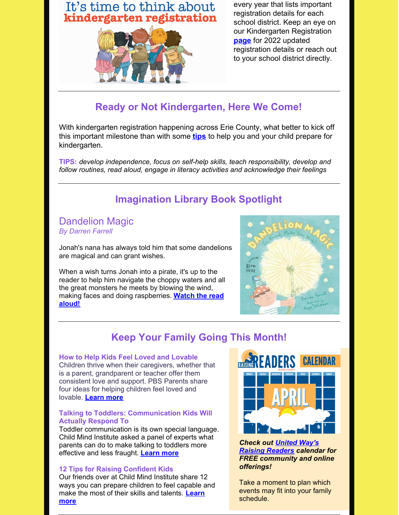# It's time to think about kindergarten registration



every year that lists important registration details for each school district. Keep an eye on our Kindergarten Registration **[page](https://www.unitedwayerie.org/our-impact/student-success/kindergarten-registration/)** for 2022 updated registration details or reach out to your school district directly.

### **Ready or Not Kindergarten, Here We Come!**

With kindergarten registration happening across Erie County, what better to kick off this important milestone than with some **[tips](https://www.naeyc.org/our-work/families/kindergarten-here-we-come)** to help you and your child prepare for kindergarten.

**TIPS:** *develop independence, focus on self-help skills, teach responsibility, develop and follow routines, read aloud, engage in literacy activities and acknowledge their feelings*

# **Imagination Library Book Spotlight**

#### Dandelion Magic *By Darren Farrell*

Jonah's nana has always told him that some dandelions are magical and can grant wishes.

When a wish turns Jonah into a pirate, it's up to the reader to help him navigate the choppy waters and all the great monsters he meets by blowing the wind, making faces and doing [raspberries.](https://www.youtube.com/watch?v=Kfwx18LRZw8) **Watch the read aloud!**



# **Keep Your Family Going This Month!**

#### **How to Help Kids Feel Loved and Lovable**

Children thrive when their caregivers, whether that is a parent, grandparent or teacher offer them consistent love and support. PBS Parents share four ideas for helping children feel loved and lovable. **[Learn](https://www.pbs.org/parents/thrive/how-to-help-kids-feel-loved-and-lovable) more**

#### **Talking to Toddlers: Communication Kids Will Actually Respond To**

Toddler communication is its own special language. Child Mind Institute asked a panel of experts what parents can do to make talking to toddlers more effective and less fraught. **[Learn](https://childmind.org/article/talking-to-toddlers/) more**

#### **12 Tips for Raising Confident Kids**

Our friends over at Child Mind Institute share 12 ways you can prepare children to feel capable and make the most of their skills and [talents.](https://childmind.org/article/12-tips-raising-confident-kids/) **Learn more**



*Check out United Way's Raising [Readers](https://calendar.google.com/calendar/u/0?cid=MTVtbzdqY241NzE4cWpoazd1aWZycGQxa29AZ3JvdXAuY2FsZW5kYXIuZ29vZ2xlLmNvbQ) calendar for FREE community and online offerings!*

Take a moment to plan which events may fit into your family schedule.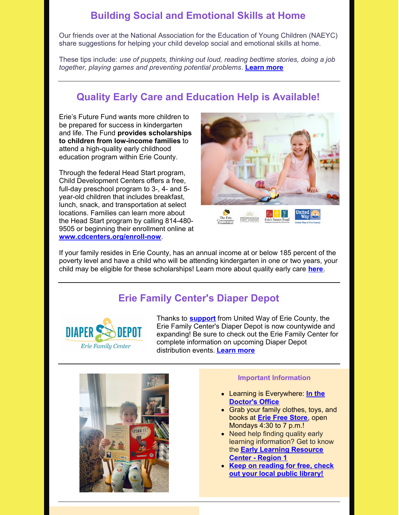### **Building Social and Emotional Skills at Home**

Our friends over at the National Association for the Education of Young Children (NAEYC) share suggestions for helping your child develop social and emotional skills at home.

These tips include: *use of puppets, thinking out loud, reading bedtime stories, doing a job together, playing games and preventing potential problems*. **[Learn](https://www.naeyc.org/our-work/families/building-social-emotional-skills-at-home) more**

### **Quality Early Care and Education Help is Available!**

Erie's Future Fund wants more children to be prepared for success in kindergarten and life. The Fund **provides scholarships to children from low-income families** to attend a high-quality early childhood education program within Erie County.

Through the federal Head Start program, Child Development Centers offers a free, full-day preschool program to 3-, 4- and 5 year-old children that includes breakfast, lunch, snack, and transportation at select locations. Families can learn more about the Head Start program by calling 814-480- 9505 or beginning their enrollment online at **[www.cdcenters.org/enroll-now](https://linkprotect.cudasvc.com/url?a=http%3a%2f%2fwww.cdcenters.org%2fenroll-now&c=E,1,MxtWmGsCpFggKrMshqzqzPorOVHXrTJTWe37yU-sn7w0BqkPgMRG1qxn6UEoPKGwX2L0HGtWoQsZd12Tw6RxQe925fh8kVtNZ8n6FwOBBl8,&typo=1)**.





If your family resides in Erie County, has an annual income at or below 185 percent of the poverty level and have a child who will be attending kindergarten in one or two years, your child may be eligible for these scholarships! Learn more about quality early care **[here](https://files.constantcontact.com/0ac743e7001/98b9e58c-1283-4f48-88fa-ee398b79c64f.pdf?rdr=true)**.

### **Erie Family Center's Diaper Depot**



Thanks to **[support](https://www.unitedwayerie.org/the-latest/blog/united-way-announces-grant-funding-to-erie-family-centers-diaper-depot)** from United Way of Erie County, the Erie Family Center's Diaper Depot is now countywide and expanding! Be sure to check out the Erie Family Center for complete information on upcoming Diaper Depot distribution events. **[Learn](https://www.facebook.com/pg/eriefamilycenter.org/events/?ref=page_internal) more**



#### **Important Information**

- Learning is [Everywhere:](https://papromiseforchildren.com/learning-is-everywhere/learning-is-everywhere-april/) **In the Doctor's Office**
- Grab your family clothes, toys, and books at **Erie Free [Store](https://www.eriefreestore.com/)**, open Mondays 4:30 to 7 p.m.!
- Need help finding quality early learning information? Get to know the **Early Learning [Resource](http://www.nwirelrc.org/?fbclid=IwAR3L_LvX4jbLS79g9LvIDXibCiPoDeeHvL9-rIqeliJTiLm3AsoPLWCT8tM) Center - Region 1**
- **Keep on [reading](http://www.erielibrary.org/) for free, check out your local public library!**